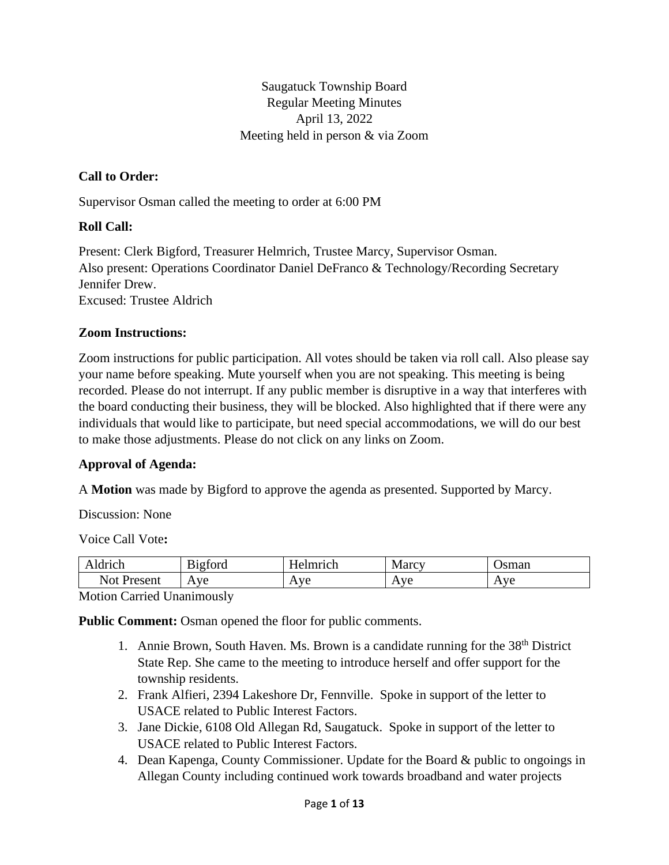Saugatuck Township Board Regular Meeting Minutes April 13, 2022 Meeting held in person & via Zoom

### **Call to Order:**

Supervisor Osman called the meeting to order at 6:00 PM

#### **Roll Call:**

Present: Clerk Bigford, Treasurer Helmrich, Trustee Marcy, Supervisor Osman. Also present: Operations Coordinator Daniel DeFranco & Technology/Recording Secretary Jennifer Drew. Excused: Trustee Aldrich

#### **Zoom Instructions:**

Zoom instructions for public participation. All votes should be taken via roll call. Also please say your name before speaking. Mute yourself when you are not speaking. This meeting is being recorded. Please do not interrupt. If any public member is disruptive in a way that interferes with the board conducting their business, they will be blocked. Also highlighted that if there were any individuals that would like to participate, but need special accommodations, we will do our best to make those adjustments. Please do not click on any links on Zoom.

#### **Approval of Agenda:**

A **Motion** was made by Bigford to approve the agenda as presented. Supported by Marcy.

Discussion: None

Voice Call Vote**:**

| drich                  | $\mathbf{r}$<br>$\sim$<br>ıgford | <b>TT</b><br>Imrich<br>≏<br>− | <b>Marcy</b>                          | sman                      |
|------------------------|----------------------------------|-------------------------------|---------------------------------------|---------------------------|
| Not<br>Jracant<br>∍спг | ve<br>А<br>. .                   | $\mathbf{I}^T$<br>v<br>n v c  | $\mathbf{I}^{\prime}$<br>$\mathbf{A}$ | <b>ve</b><br>$\mathbf{A}$ |

Motion Carried Unanimously

Public Comment: Osman opened the floor for public comments.

- 1. Annie Brown, South Haven. Ms. Brown is a candidate running for the  $38<sup>th</sup>$  District State Rep. She came to the meeting to introduce herself and offer support for the township residents.
- 2. Frank Alfieri, 2394 Lakeshore Dr, Fennville. Spoke in support of the letter to USACE related to Public Interest Factors.
- 3. Jane Dickie, 6108 Old Allegan Rd, Saugatuck. Spoke in support of the letter to USACE related to Public Interest Factors.
- 4. Dean Kapenga, County Commissioner. Update for the Board & public to ongoings in Allegan County including continued work towards broadband and water projects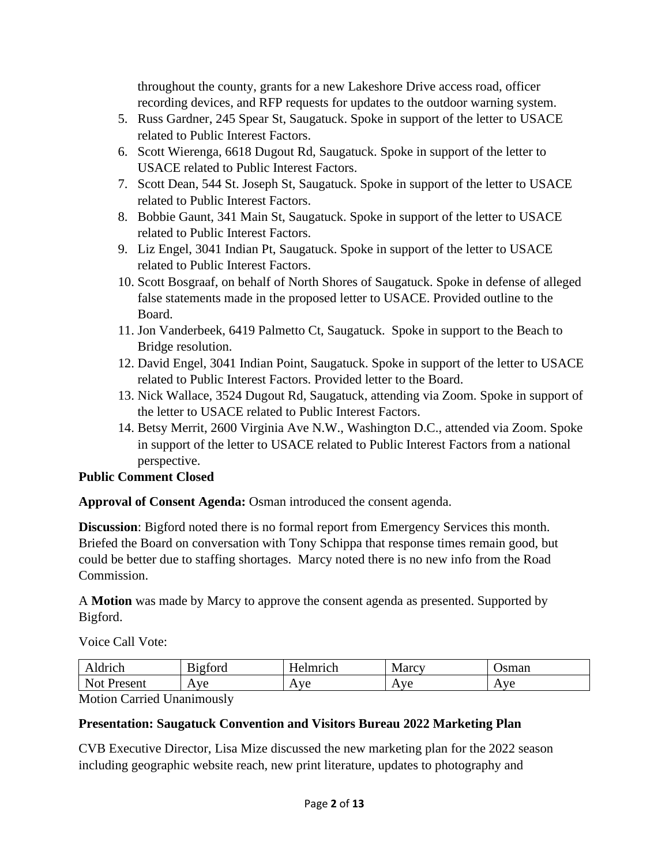throughout the county, grants for a new Lakeshore Drive access road, officer recording devices, and RFP requests for updates to the outdoor warning system.

- 5. Russ Gardner, 245 Spear St, Saugatuck. Spoke in support of the letter to USACE related to Public Interest Factors.
- 6. Scott Wierenga, 6618 Dugout Rd, Saugatuck. Spoke in support of the letter to USACE related to Public Interest Factors.
- 7. Scott Dean, 544 St. Joseph St, Saugatuck. Spoke in support of the letter to USACE related to Public Interest Factors.
- 8. Bobbie Gaunt, 341 Main St, Saugatuck. Spoke in support of the letter to USACE related to Public Interest Factors.
- 9. Liz Engel, 3041 Indian Pt, Saugatuck. Spoke in support of the letter to USACE related to Public Interest Factors.
- 10. Scott Bosgraaf, on behalf of North Shores of Saugatuck. Spoke in defense of alleged false statements made in the proposed letter to USACE. Provided outline to the Board.
- 11. Jon Vanderbeek, 6419 Palmetto Ct, Saugatuck. Spoke in support to the Beach to Bridge resolution.
- 12. David Engel, 3041 Indian Point, Saugatuck. Spoke in support of the letter to USACE related to Public Interest Factors. Provided letter to the Board.
- 13. Nick Wallace, 3524 Dugout Rd, Saugatuck, attending via Zoom. Spoke in support of the letter to USACE related to Public Interest Factors.
- 14. Betsy Merrit, 2600 Virginia Ave N.W., Washington D.C., attended via Zoom. Spoke in support of the letter to USACE related to Public Interest Factors from a national perspective.

# **Public Comment Closed**

**Approval of Consent Agenda:** Osman introduced the consent agenda.

**Discussion**: Bigford noted there is no formal report from Emergency Services this month. Briefed the Board on conversation with Tony Schippa that response times remain good, but could be better due to staffing shortages. Marcy noted there is no new info from the Road Commission.

A **Motion** was made by Marcy to approve the consent agenda as presented. Supported by Bigford.

Voice Call Vote:

| Aldrich       | $\mathbf{r}$<br>$\sim$<br>B <sub>1</sub> gford | ∙lmrıch                         | . AT<br>Marcy                                          | $\alpha$ man<br>ѕшан                              |
|---------------|------------------------------------------------|---------------------------------|--------------------------------------------------------|---------------------------------------------------|
| Not<br>resent | ve<br>д<br>. .                                 | $\Delta$ via<br>ั<br><b>A</b> A | $\mathbf{V}$<br>$\overline{\phantom{a}}$<br><b>A</b> A | $\mathbf{I}^{\prime}$<br>$\overline{\phantom{a}}$ |

Motion Carried Unanimously

# **Presentation: Saugatuck Convention and Visitors Bureau 2022 Marketing Plan**

CVB Executive Director, Lisa Mize discussed the new marketing plan for the 2022 season including geographic website reach, new print literature, updates to photography and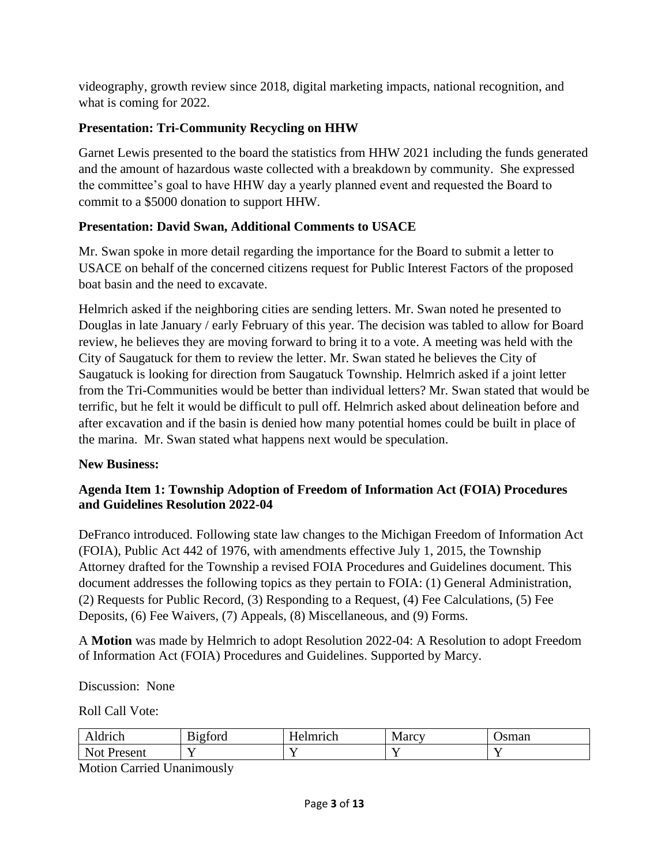videography, growth review since 2018, digital marketing impacts, national recognition, and what is coming for 2022.

# **Presentation: Tri-Community Recycling on HHW**

Garnet Lewis presented to the board the statistics from HHW 2021 including the funds generated and the amount of hazardous waste collected with a breakdown by community. She expressed the committee's goal to have HHW day a yearly planned event and requested the Board to commit to a \$5000 donation to support HHW.

# **Presentation: David Swan, Additional Comments to USACE**

Mr. Swan spoke in more detail regarding the importance for the Board to submit a letter to USACE on behalf of the concerned citizens request for Public Interest Factors of the proposed boat basin and the need to excavate.

Helmrich asked if the neighboring cities are sending letters. Mr. Swan noted he presented to Douglas in late January / early February of this year. The decision was tabled to allow for Board review, he believes they are moving forward to bring it to a vote. A meeting was held with the City of Saugatuck for them to review the letter. Mr. Swan stated he believes the City of Saugatuck is looking for direction from Saugatuck Township. Helmrich asked if a joint letter from the Tri-Communities would be better than individual letters? Mr. Swan stated that would be terrific, but he felt it would be difficult to pull off. Helmrich asked about delineation before and after excavation and if the basin is denied how many potential homes could be built in place of the marina. Mr. Swan stated what happens next would be speculation.

# **New Business:**

### **Agenda Item 1: Township Adoption of Freedom of Information Act (FOIA) Procedures and Guidelines Resolution 2022-04**

DeFranco introduced. Following state law changes to the Michigan Freedom of Information Act (FOIA), Public Act 442 of 1976, with amendments effective July 1, 2015, the Township Attorney drafted for the Township a revised FOIA Procedures and Guidelines document. This document addresses the following topics as they pertain to FOIA: (1) General Administration, (2) Requests for Public Record, (3) Responding to a Request, (4) Fee Calculations, (5) Fee Deposits, (6) Fee Waivers, (7) Appeals, (8) Miscellaneous, and (9) Forms.

A **Motion** was made by Helmrich to adopt Resolution 2022-04: A Resolution to adopt Freedom of Information Act (FOIA) Procedures and Guidelines. Supported by Marcy.

Discussion: None

Roll Call Vote:

| Idrich<br>$^{\prime}$     | $\mathbf{r}$<br>$\sim$<br>B <sub>1</sub> g <sub>t</sub> ord | Imrich<br>HΑ | Marcy    | 'sman |
|---------------------------|-------------------------------------------------------------|--------------|----------|-------|
| $\overline{N}$<br>Present | -                                                           |              | . .<br>- | -     |

Motion Carried Unanimously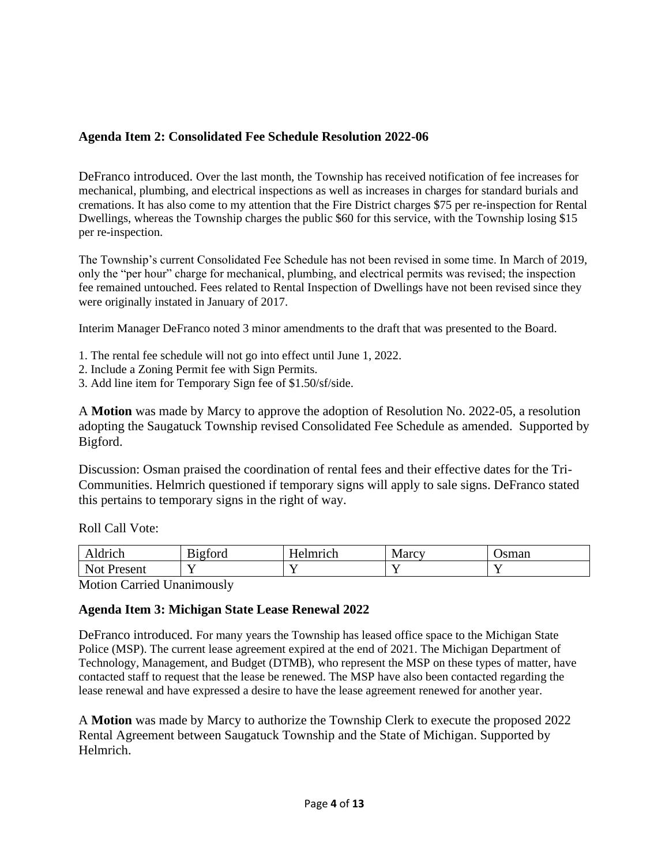### **Agenda Item 2: Consolidated Fee Schedule Resolution 2022-06**

DeFranco introduced. Over the last month, the Township has received notification of fee increases for mechanical, plumbing, and electrical inspections as well as increases in charges for standard burials and cremations. It has also come to my attention that the Fire District charges \$75 per re-inspection for Rental Dwellings, whereas the Township charges the public \$60 for this service, with the Township losing \$15 per re-inspection.

The Township's current Consolidated Fee Schedule has not been revised in some time. In March of 2019, only the "per hour" charge for mechanical, plumbing, and electrical permits was revised; the inspection fee remained untouched. Fees related to Rental Inspection of Dwellings have not been revised since they were originally instated in January of 2017.

Interim Manager DeFranco noted 3 minor amendments to the draft that was presented to the Board.

- 1. The rental fee schedule will not go into effect until June 1, 2022.
- 2. Include a Zoning Permit fee with Sign Permits.
- 3. Add line item for Temporary Sign fee of \$1.50/sf/side.

A **Motion** was made by Marcy to approve the adoption of Resolution No. 2022-05, a resolution adopting the Saugatuck Township revised Consolidated Fee Schedule as amended. Supported by Bigford.

Discussion: Osman praised the coordination of rental fees and their effective dates for the Tri-Communities. Helmrich questioned if temporary signs will apply to sale signs. DeFranco stated this pertains to temporary signs in the right of way.

Roll Call Vote:

| $\sim$ $\sim$ $\sim$ $\sim$<br>◡⊥ | $\sim$ $\sim$<br>$\sim$<br>- <del>-</del> - - - - - -<br>1 G T<br>uu | $\mathbf{r}$<br>lmuoh<br>൧<br>. | --<br>Marcy N | sman |
|-----------------------------------|----------------------------------------------------------------------|---------------------------------|---------------|------|
| N<br>Ωt<br>c ۵n۱<br>᠈◡⊥<br>__     | - -<br>-                                                             | -                               | - -<br>-      |      |

Motion Carried Unanimously

#### **Agenda Item 3: Michigan State Lease Renewal 2022**

DeFranco introduced. For many years the Township has leased office space to the Michigan State Police (MSP). The current lease agreement expired at the end of 2021. The Michigan Department of Technology, Management, and Budget (DTMB), who represent the MSP on these types of matter, have contacted staff to request that the lease be renewed. The MSP have also been contacted regarding the lease renewal and have expressed a desire to have the lease agreement renewed for another year.

A **Motion** was made by Marcy to authorize the Township Clerk to execute the proposed 2022 Rental Agreement between Saugatuck Township and the State of Michigan. Supported by Helmrich.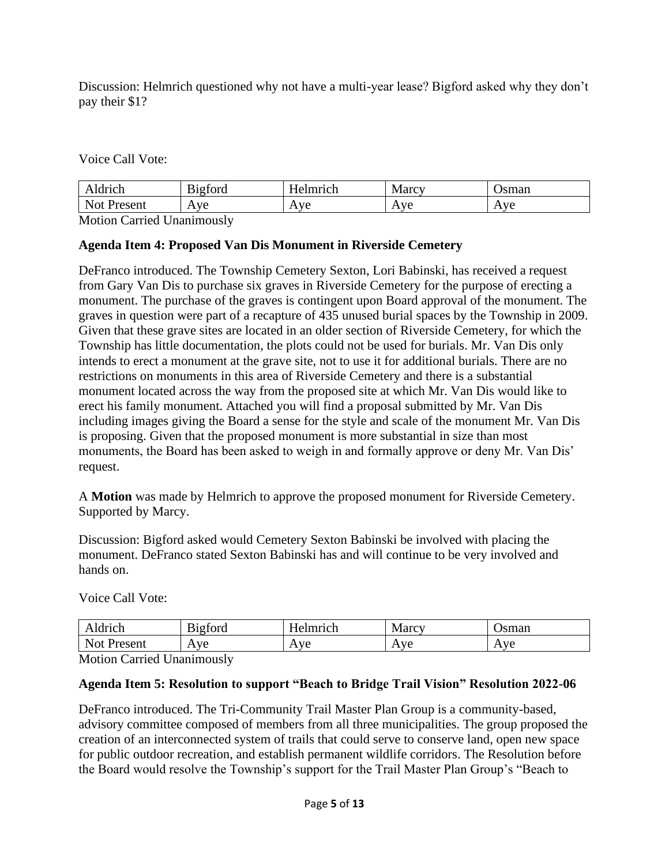Discussion: Helmrich questioned why not have a multi-year lease? Bigford asked why they don't pay their \$1?

Voice Call Vote:

| drich                                                             | rtord | mm<br>$\sim$ $\sim$<br>$H\Delta$<br>'UN | Marcy <sub>r</sub>             | sman                            |
|-------------------------------------------------------------------|-------|-----------------------------------------|--------------------------------|---------------------------------|
| $\overline{\text{Nat}}$<br>$P$ recen $'$<br>Ave<br>TUSUN<br>1 V L |       | Ave                                     | $V\subseteq$<br>$\overline{1}$ | $\mathbf{V}$<br>ີ<br><b>A</b> A |

Motion Carried Unanimously

### **Agenda Item 4: Proposed Van Dis Monument in Riverside Cemetery**

DeFranco introduced. The Township Cemetery Sexton, Lori Babinski, has received a request from Gary Van Dis to purchase six graves in Riverside Cemetery for the purpose of erecting a monument. The purchase of the graves is contingent upon Board approval of the monument. The graves in question were part of a recapture of 435 unused burial spaces by the Township in 2009. Given that these grave sites are located in an older section of Riverside Cemetery, for which the Township has little documentation, the plots could not be used for burials. Mr. Van Dis only intends to erect a monument at the grave site, not to use it for additional burials. There are no restrictions on monuments in this area of Riverside Cemetery and there is a substantial monument located across the way from the proposed site at which Mr. Van Dis would like to erect his family monument. Attached you will find a proposal submitted by Mr. Van Dis including images giving the Board a sense for the style and scale of the monument Mr. Van Dis is proposing. Given that the proposed monument is more substantial in size than most monuments, the Board has been asked to weigh in and formally approve or deny Mr. Van Dis' request.

A **Motion** was made by Helmrich to approve the proposed monument for Riverside Cemetery. Supported by Marcy.

Discussion: Bigford asked would Cemetery Sexton Babinski be involved with placing the monument. DeFranco stated Sexton Babinski has and will continue to be very involved and hands on.

Voice Call Vote:

| 'drich                             | n'<br>$\sim$<br>1gford<br>. .<br>◡ | $ -$<br>Imrich      | Marcy                                        | sman                                  |
|------------------------------------|------------------------------------|---------------------|----------------------------------------------|---------------------------------------|
| $\overline{\text{Nat}}$<br>Present | ve<br>A                            | Ave<br>$\mathbf{A}$ | Δ τια<br>$\overline{\phantom{a}}$<br>7 7 Y C | $V\rightarrow$<br>Δ<br>$\overline{ }$ |

Motion Carried Unanimously

#### **Agenda Item 5: Resolution to support "Beach to Bridge Trail Vision" Resolution 2022-06**

DeFranco introduced. The Tri-Community Trail Master Plan Group is a community-based, advisory committee composed of members from all three municipalities. The group proposed the creation of an interconnected system of trails that could serve to conserve land, open new space for public outdoor recreation, and establish permanent wildlife corridors. The Resolution before the Board would resolve the Township's support for the Trail Master Plan Group's "Beach to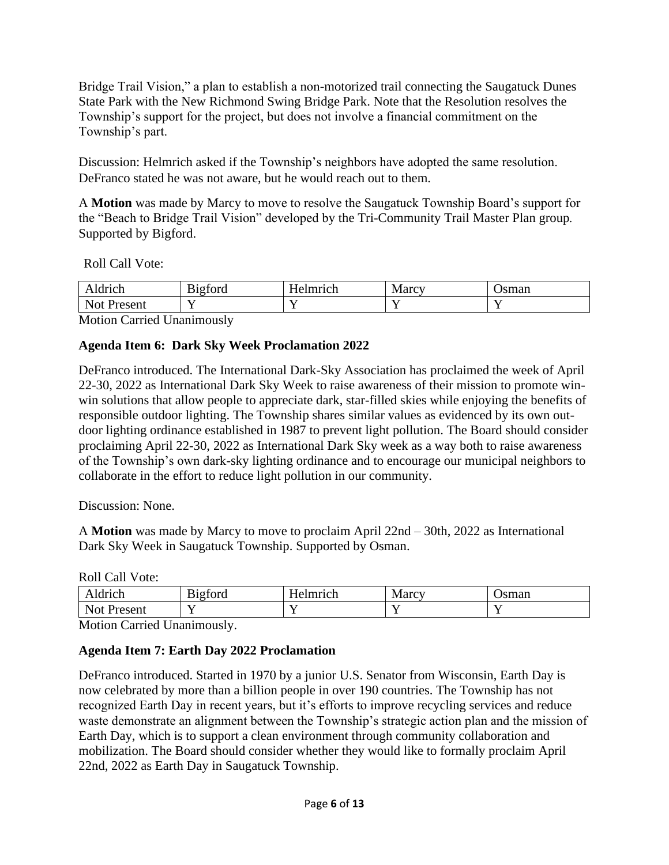Bridge Trail Vision," a plan to establish a non-motorized trail connecting the Saugatuck Dunes State Park with the New Richmond Swing Bridge Park. Note that the Resolution resolves the Township's support for the project, but does not involve a financial commitment on the Township's part.

Discussion: Helmrich asked if the Township's neighbors have adopted the same resolution. DeFranco stated he was not aware, but he would reach out to them.

A **Motion** was made by Marcy to move to resolve the Saugatuck Township Board's support for the "Beach to Bridge Trail Vision" developed by the Tri-Community Trail Master Plan group*.*  Supported by Bigford.

Roll Call Vote:

| drich                             | n.<br>$\sim$<br>B <sub>1</sub> g <sub>t</sub> ord | <b>TT</b><br>lmrıah<br>$\Delta$ | Marcy | sman |
|-----------------------------------|---------------------------------------------------|---------------------------------|-------|------|
| N <sub>of</sub><br>AςAnt<br>3U.IL | - -<br>-                                          | -                               | -     | -    |

Motion Carried Unanimously

# **Agenda Item 6: Dark Sky Week Proclamation 2022**

DeFranco introduced. The International Dark-Sky Association has proclaimed the week of April 22-30, 2022 as International Dark Sky Week to raise awareness of their mission to promote winwin solutions that allow people to appreciate dark, star-filled skies while enjoying the benefits of responsible outdoor lighting. The Township shares similar values as evidenced by its own outdoor lighting ordinance established in 1987 to prevent light pollution. The Board should consider proclaiming April 22-30, 2022 as International Dark Sky week as a way both to raise awareness of the Township's own dark-sky lighting ordinance and to encourage our municipal neighbors to collaborate in the effort to reduce light pollution in our community.

Discussion: None.

A **Motion** was made by Marcy to move to proclaim April 22nd – 30th, 2022 as International Dark Sky Week in Saugatuck Township. Supported by Osman.

Roll Call Vote:

| ldrich                     | $\mathbf{r}$<br>$\sim$<br>B <sub>1</sub> gford | <b>TT</b><br>Imrich<br>Н<br>$\bullet$<br>' IVI. | Marcy <sup>-</sup> | ∖sman |
|----------------------------|------------------------------------------------|-------------------------------------------------|--------------------|-------|
| N <sub>of</sub><br>Present | -                                              |                                                 |                    |       |

Motion Carried Unanimously.

# **Agenda Item 7: Earth Day 2022 Proclamation**

DeFranco introduced. Started in 1970 by a junior U.S. Senator from Wisconsin, Earth Day is now celebrated by more than a billion people in over 190 countries. The Township has not recognized Earth Day in recent years, but it's efforts to improve recycling services and reduce waste demonstrate an alignment between the Township's strategic action plan and the mission of Earth Day, which is to support a clean environment through community collaboration and mobilization. The Board should consider whether they would like to formally proclaim April 22nd, 2022 as Earth Day in Saugatuck Township.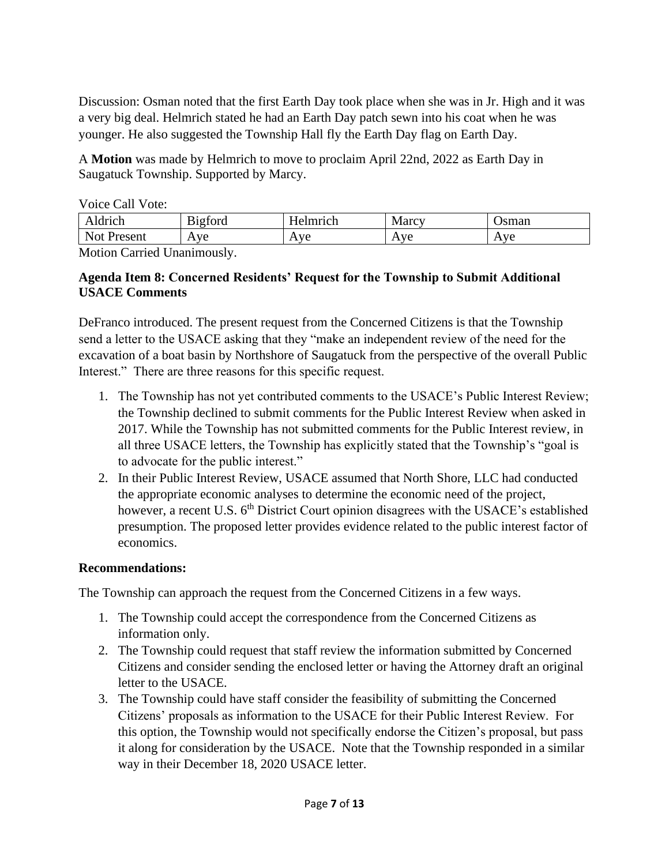Discussion: Osman noted that the first Earth Day took place when she was in Jr. High and it was a very big deal. Helmrich stated he had an Earth Day patch sewn into his coat when he was younger. He also suggested the Township Hall fly the Earth Day flag on Earth Day.

A **Motion** was made by Helmrich to move to proclaim April 22nd, 2022 as Earth Day in Saugatuck Township. Supported by Marcy.

Voice Call Vote:

| Aldrich               | $\sim$<br>$\mathbf{\cdot}$<br>B <sub>1</sub> gford | <b>TT</b><br>Helmrich | <b>Marcy</b>          | <b>J</b> sman |
|-----------------------|----------------------------------------------------|-----------------------|-----------------------|---------------|
| <b>Not</b><br>Present | ve<br>$\Delta$                                     | Ave                   | Ave<br>$\overline{1}$ | Ave<br>T.     |

Motion Carried Unanimously.

### **Agenda Item 8: Concerned Residents' Request for the Township to Submit Additional USACE Comments**

DeFranco introduced. The present request from the Concerned Citizens is that the Township send a letter to the USACE asking that they "make an independent review of the need for the excavation of a boat basin by Northshore of Saugatuck from the perspective of the overall Public Interest." There are three reasons for this specific request.

- 1. The Township has not yet contributed comments to the USACE's Public Interest Review; the Township declined to submit comments for the Public Interest Review when asked in 2017. While the Township has not submitted comments for the Public Interest review, in all three USACE letters, the Township has explicitly stated that the Township's "goal is to advocate for the public interest."
- 2. In their Public Interest Review, USACE assumed that North Shore, LLC had conducted the appropriate economic analyses to determine the economic need of the project, however, a recent U.S.  $6<sup>th</sup>$  District Court opinion disagrees with the USACE's established presumption. The proposed letter provides evidence related to the public interest factor of economics.

# **Recommendations:**

The Township can approach the request from the Concerned Citizens in a few ways.

- 1. The Township could accept the correspondence from the Concerned Citizens as information only.
- 2. The Township could request that staff review the information submitted by Concerned Citizens and consider sending the enclosed letter or having the Attorney draft an original letter to the USACE.
- 3. The Township could have staff consider the feasibility of submitting the Concerned Citizens' proposals as information to the USACE for their Public Interest Review. For this option, the Township would not specifically endorse the Citizen's proposal, but pass it along for consideration by the USACE. Note that the Township responded in a similar way in their December 18, 2020 USACE letter.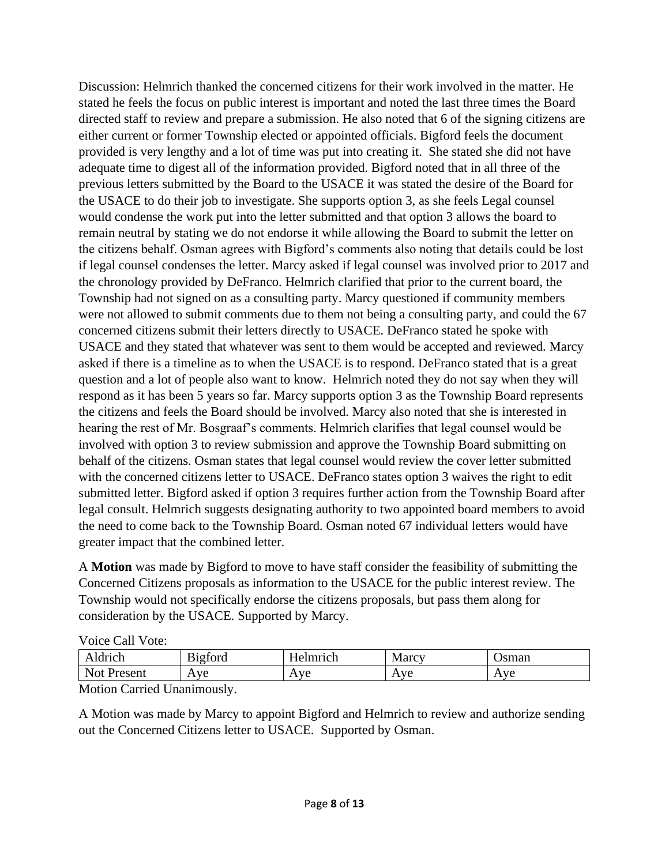Discussion: Helmrich thanked the concerned citizens for their work involved in the matter. He stated he feels the focus on public interest is important and noted the last three times the Board directed staff to review and prepare a submission. He also noted that 6 of the signing citizens are either current or former Township elected or appointed officials. Bigford feels the document provided is very lengthy and a lot of time was put into creating it. She stated she did not have adequate time to digest all of the information provided. Bigford noted that in all three of the previous letters submitted by the Board to the USACE it was stated the desire of the Board for the USACE to do their job to investigate. She supports option 3, as she feels Legal counsel would condense the work put into the letter submitted and that option 3 allows the board to remain neutral by stating we do not endorse it while allowing the Board to submit the letter on the citizens behalf. Osman agrees with Bigford's comments also noting that details could be lost if legal counsel condenses the letter. Marcy asked if legal counsel was involved prior to 2017 and the chronology provided by DeFranco. Helmrich clarified that prior to the current board, the Township had not signed on as a consulting party. Marcy questioned if community members were not allowed to submit comments due to them not being a consulting party, and could the 67 concerned citizens submit their letters directly to USACE. DeFranco stated he spoke with USACE and they stated that whatever was sent to them would be accepted and reviewed. Marcy asked if there is a timeline as to when the USACE is to respond. DeFranco stated that is a great question and a lot of people also want to know. Helmrich noted they do not say when they will respond as it has been 5 years so far. Marcy supports option 3 as the Township Board represents the citizens and feels the Board should be involved. Marcy also noted that she is interested in hearing the rest of Mr. Bosgraaf's comments. Helmrich clarifies that legal counsel would be involved with option 3 to review submission and approve the Township Board submitting on behalf of the citizens. Osman states that legal counsel would review the cover letter submitted with the concerned citizens letter to USACE. DeFranco states option 3 waives the right to edit submitted letter. Bigford asked if option 3 requires further action from the Township Board after legal consult. Helmrich suggests designating authority to two appointed board members to avoid the need to come back to the Township Board. Osman noted 67 individual letters would have greater impact that the combined letter.

A **Motion** was made by Bigford to move to have staff consider the feasibility of submitting the Concerned Citizens proposals as information to the USACE for the public interest review. The Township would not specifically endorse the citizens proposals, but pass them along for consideration by the USACE. Supported by Marcy.

| ldrich                | F.<br>$\sim$<br>B <sub>1</sub> gford | <b>TT</b><br>Helmrich | Marcy               | sman |
|-----------------------|--------------------------------------|-----------------------|---------------------|------|
| <b>Not</b><br>Present | Aye                                  | Ave                   | Ave<br>$\mathbf{v}$ | Aye  |

Motion Carried Unanimously.

A Motion was made by Marcy to appoint Bigford and Helmrich to review and authorize sending out the Concerned Citizens letter to USACE. Supported by Osman.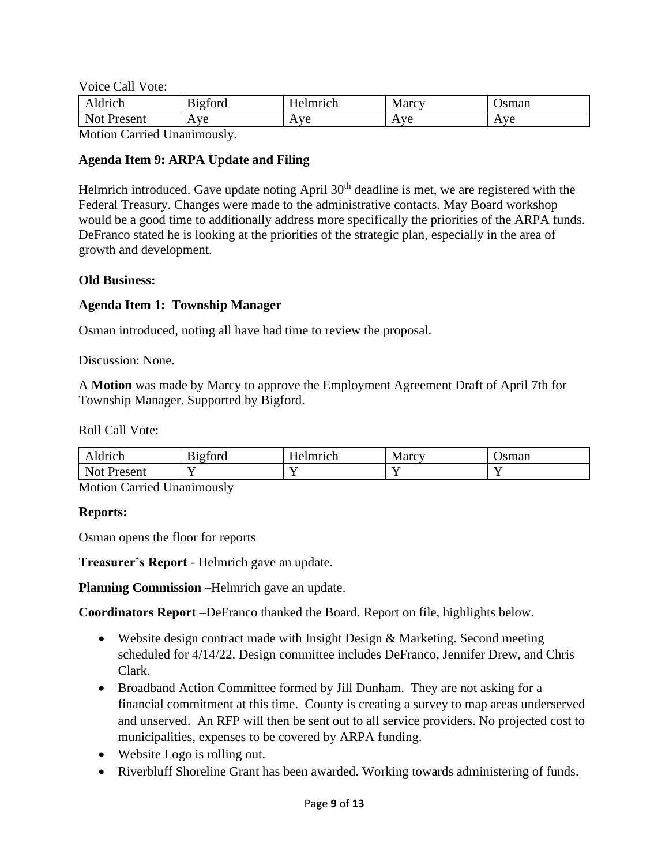Voice Call Vote:

| ldrich<br>$\cdot$     | r.<br>$\sim$<br>B <sub>1</sub> gford | $\mathbf{r}$<br>lelmrıch<br>-       | $\mathbf{r}$<br><b>Marcy</b>        | sman                          |
|-----------------------|--------------------------------------|-------------------------------------|-------------------------------------|-------------------------------|
| <b>Not</b><br>Present | Ave<br>. .                           | .ve<br>Δ.<br>$\mathbf{\mathcal{L}}$ | $\mathbf{V}$<br>v U<br>$\mathbf{r}$ | $\Delta$ Ve<br>$\overline{1}$ |

Motion Carried Unanimously.

#### **Agenda Item 9: ARPA Update and Filing**

Helmrich introduced. Gave update noting April  $30<sup>th</sup>$  deadline is met, we are registered with the Federal Treasury. Changes were made to the administrative contacts. May Board workshop would be a good time to additionally address more specifically the priorities of the ARPA funds. DeFranco stated he is looking at the priorities of the strategic plan, especially in the area of growth and development.

#### **Old Business:**

#### **Agenda Item 1: Township Manager**

Osman introduced, noting all have had time to review the proposal.

Discussion: None.

A **Motion** was made by Marcy to approve the Employment Agreement Draft of April 7th for Township Manager. Supported by Bigford.

#### Roll Call Vote:

| drich<br>w                                     | $\sim$<br>$\overline{\phantom{a}}$<br><b>gford</b> | $ -$<br>lmma<br>HA<br>UI. | <b>Marcy</b> | sman |
|------------------------------------------------|----------------------------------------------------|---------------------------|--------------|------|
| N <sub>of</sub><br>$\infty$ cont<br>,∪⊥น<br>__ | -                                                  |                           | - -          |      |

Motion Carried Unanimously

#### **Reports:**

Osman opens the floor for reports

**Treasurer's Report** - Helmrich gave an update.

**Planning Commission** –Helmrich gave an update.

**Coordinators Report** –DeFranco thanked the Board. Report on file, highlights below.

- Website design contract made with Insight Design & Marketing. Second meeting scheduled for 4/14/22. Design committee includes DeFranco, Jennifer Drew, and Chris Clark.
- Broadband Action Committee formed by Jill Dunham. They are not asking for a financial commitment at this time. County is creating a survey to map areas underserved and unserved. An RFP will then be sent out to all service providers. No projected cost to municipalities, expenses to be covered by ARPA funding.
- Website Logo is rolling out.
- Riverbluff Shoreline Grant has been awarded. Working towards administering of funds.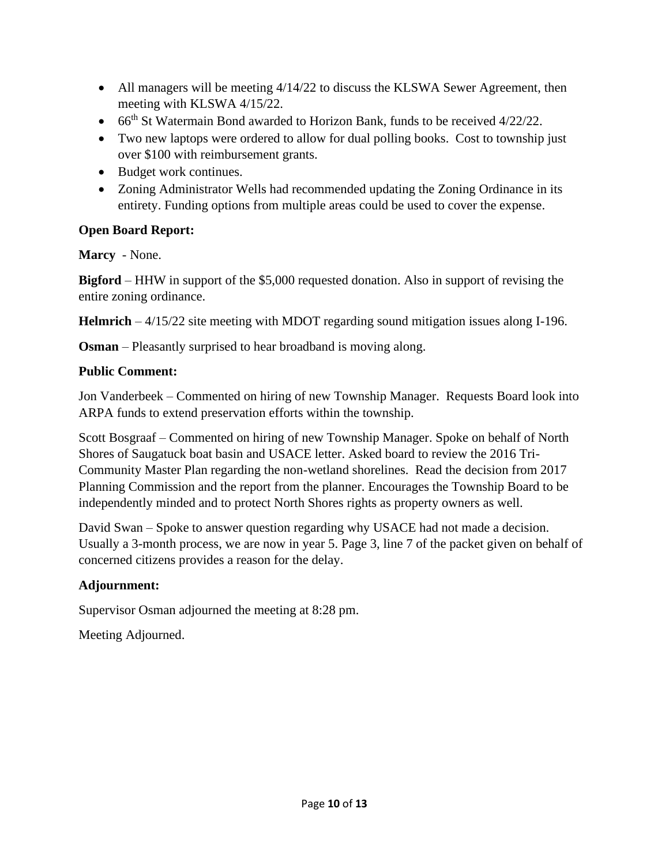- All managers will be meeting 4/14/22 to discuss the KLSWA Sewer Agreement, then meeting with KLSWA 4/15/22.
- 66<sup>th</sup> St Watermain Bond awarded to Horizon Bank, funds to be received 4/22/22.
- Two new laptops were ordered to allow for dual polling books. Cost to township just over \$100 with reimbursement grants.
- Budget work continues.
- Zoning Administrator Wells had recommended updating the Zoning Ordinance in its entirety. Funding options from multiple areas could be used to cover the expense.

# **Open Board Report:**

**Marcy** - None.

**Bigford** – HHW in support of the \$5,000 requested donation. Also in support of revising the entire zoning ordinance.

**Helmrich** – 4/15/22 site meeting with MDOT regarding sound mitigation issues along I-196.

**Osman** – Pleasantly surprised to hear broadband is moving along.

# **Public Comment:**

Jon Vanderbeek – Commented on hiring of new Township Manager. Requests Board look into ARPA funds to extend preservation efforts within the township.

Scott Bosgraaf – Commented on hiring of new Township Manager. Spoke on behalf of North Shores of Saugatuck boat basin and USACE letter. Asked board to review the 2016 Tri-Community Master Plan regarding the non-wetland shorelines. Read the decision from 2017 Planning Commission and the report from the planner. Encourages the Township Board to be independently minded and to protect North Shores rights as property owners as well.

David Swan – Spoke to answer question regarding why USACE had not made a decision. Usually a 3-month process, we are now in year 5. Page 3, line 7 of the packet given on behalf of concerned citizens provides a reason for the delay.

# **Adjournment:**

Supervisor Osman adjourned the meeting at 8:28 pm.

Meeting Adjourned.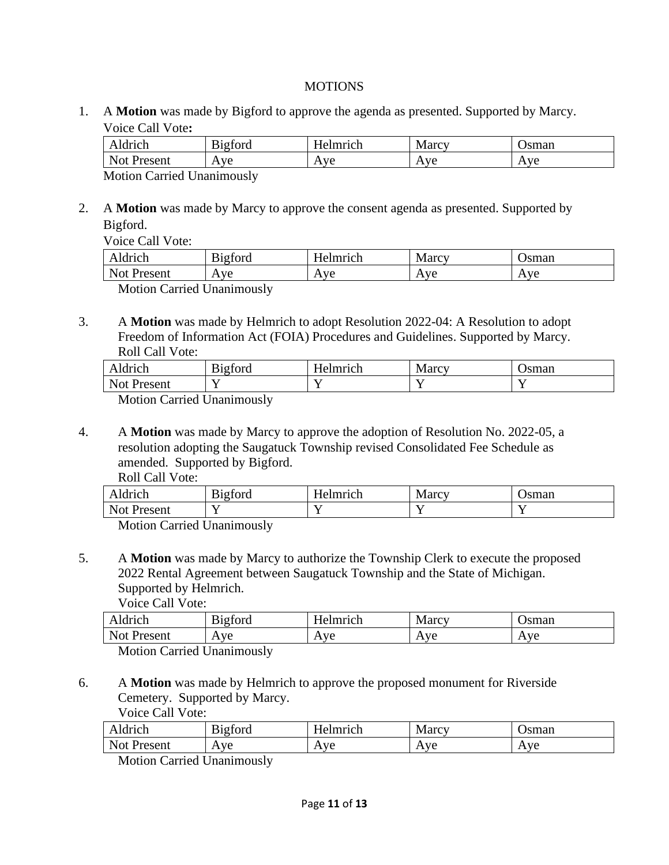#### **MOTIONS**

1. A **Motion** was made by Bigford to approve the agenda as presented. Supported by Marcy. Voice Call Vote**:**

| Aldrich         | $\sim$<br>$\sim$<br>tord<br>$R10^{\circ}$ | $\mathbf{r}$<br>telmrich<br>H | Marcy                     | Jsman                 |  |
|-----------------|-------------------------------------------|-------------------------------|---------------------------|-----------------------|--|
| Not Present     | ve<br>$\mathbf{v}$                        | Ave                           | ve<br>/ \<br>$\mathbf{L}$ | Ave<br>$\overline{1}$ |  |
| T<br><b>B</b> F |                                           |                               |                           |                       |  |

Motion Carried Unanimously

2. A **Motion** was made by Marcy to approve the consent agenda as presented. Supported by Bigford.

Voice Call Vote:

| Aldrich                    | r.<br>B <sub>1</sub> gford | Helmrich | Marcy | Jsman |  |
|----------------------------|----------------------------|----------|-------|-------|--|
| Not Present                | Ave                        | Ave      | Ave   | Ave   |  |
| Motion Corried Unenimously |                            |          |       |       |  |

Motion Carried Unanimously

3. A **Motion** was made by Helmrich to adopt Resolution 2022-04: A Resolution to adopt Freedom of Information Act (FOIA) Procedures and Guidelines. Supported by Marcy. Roll Call Vote:

| wu                                | $\sim$ $\cdot$<br>$\sim$<br>$\sim$ 44 $\sigma$<br>DICIVIU | <b>SAARAS</b> | $\sim$<br>Marcy | sman |
|-----------------------------------|-----------------------------------------------------------|---------------|-----------------|------|
| $\mathbf{r}$<br>$\sim$<br>Present | - -                                                       |               |                 |      |

Motion Carried Unanimously

4. A **Motion** was made by Marcy to approve the adoption of Resolution No. 2022-05, a resolution adopting the Saugatuck Township revised Consolidated Fee Schedule as amended. Supported by Bigford. Roll Call Vote:

| KUIL CAIL VUIC. |                |          |       |       |
|-----------------|----------------|----------|-------|-------|
| Aldrich         | <b>Bigford</b> | Helmrich | Marcy | Jsman |
| Not Present     |                |          |       |       |

Motion Carried Unanimously

5. A **Motion** was made by Marcy to authorize the Township Clerk to execute the proposed 2022 Rental Agreement between Saugatuck Township and the State of Michigan. Supported by Helmrich.

Voice Call Vote:

| Aldrich                            | n·<br>$\sim$<br>B <sub>1</sub> gford | Helmrich            | Marcy               | ∖sman |  |
|------------------------------------|--------------------------------------|---------------------|---------------------|-------|--|
| $\overline{\text{Not}}$<br>Present | Ave                                  | Ave<br>$\mathbf{L}$ | Ave<br>$\mathbf{A}$ | Ave   |  |
| $ -$<br>ъ                          |                                      |                     |                     |       |  |

Motion Carried Unanimously

6. A **Motion** was made by Helmrich to approve the proposed monument for Riverside Cemetery. Supported by Marcy. Voice Call Vote:

| drich                              | $\mathbf{r}$<br>igford<br>. .<br> | lmmah                                       | Marc<br>$0$ the $0$ $\overline{1}$ | sman                       |
|------------------------------------|-----------------------------------|---------------------------------------------|------------------------------------|----------------------------|
| N.<br>Ωt<br>$r$ $\alpha$<br>™NCIIt | Ave<br>$\cdot$<br>-<br>. .        | $V\theta$<br>۰J<br>$\overline{\phantom{a}}$ | $V\subseteq$<br>Δ<br>$\mathbf{r}$  | ۱ ۱ ۱ ۵<br><br><b>1176</b> |

Motion Carried Unanimously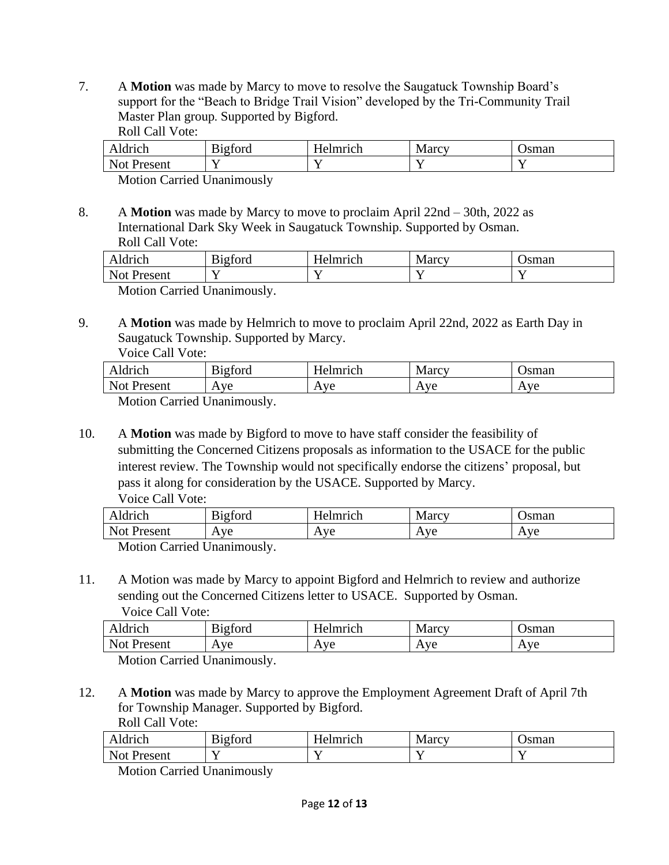7. A **Motion** was made by Marcy to move to resolve the Saugatuck Township Board's support for the "Beach to Bridge Trail Vision" developed by the Tri-Community Trail Master Plan group*.* Supported by Bigford. Roll Call Vote:

| $\sim$ 444 $\sim$ $\sim$<br>10 U<br>,,<br>TCH                | $\sim$<br>$\sim$<br>$\sim$ 44 $\sim$<br>$\sim$<br>viu | $\mathbf{r}$<br>----<br>$\sim$ $\sim$ | $M$ $\alpha$ $\alpha x$<br>$1$ vran | sman |
|--------------------------------------------------------------|-------------------------------------------------------|---------------------------------------|-------------------------------------|------|
| $N_{\Omega}$<br>$\sim$ $\sim$ $\sim$ $\sim$ $\sim$<br>21 I U | - -<br>-                                              |                                       |                                     | --   |

Motion Carried Unanimously

8. A **Motion** was made by Marcy to move to proclaim April 22nd – 30th, 2022 as International Dark Sky Week in Saugatuck Township. Supported by Osman. Roll Call Vote:

| Aldrich                             | $\sim$<br>r.<br>. ~+~~<br>DILIVIU | mmm<br>.UI | Marcy | sman |  |
|-------------------------------------|-----------------------------------|------------|-------|------|--|
| Not P<br>Present                    |                                   |            |       |      |  |
| $\cdots$<br>$\sim$<br>$\sim$ $\sim$ |                                   |            |       |      |  |

Motion Carried Unanimously.

9. A **Motion** was made by Helmrich to move to proclaim April 22nd, 2022 as Earth Day in Saugatuck Township. Supported by Marcy. Voice Call Vote:

| Aldrich          | 12ford<br>υ | - Helmrich | Marcy               | )sman |  |
|------------------|-------------|------------|---------------------|-------|--|
| Not F<br>Present | Ave         | Ave        | Ave<br>$\mathbf{A}$ | Ave   |  |

Motion Carried Unanimously.

10. A **Motion** was made by Bigford to move to have staff consider the feasibility of submitting the Concerned Citizens proposals as information to the USACE for the public interest review. The Township would not specifically endorse the citizens' proposal, but pass it along for consideration by the USACE. Supported by Marcy. Voice Call Vote:

| $\Delta$ moh<br>unun        | $\sim$<br>r.<br>$\sim$<br>$.10+$<br>10I u<br>້ | $ -$<br>$\alpha$ lmrı $\alpha$ h<br>w | Marcy                                 | sman                                     |
|-----------------------------|------------------------------------------------|---------------------------------------|---------------------------------------|------------------------------------------|
| Not<br>$P$ resent<br>CSCIIL | ve<br>Д<br>. .                                 | ve<br>Δ.<br>$\overline{ }$            | $\mathbf{I}^{\prime}$<br>$\mathbf{r}$ | $\Delta$ via<br>$\overline{\phantom{a}}$ |

Motion Carried Unanimously.

11. A Motion was made by Marcy to appoint Bigford and Helmrich to review and authorize sending out the Concerned Citizens letter to USACE. Supported by Osman. Voice Call Vote:

| Aldrich                    | <b>Bigford</b> | Helmrich | Marcy | )sman |  |
|----------------------------|----------------|----------|-------|-------|--|
| Not Present                | Ave            | Ave      | Ave   | Ave   |  |
| Motion Corried Unanimously |                |          |       |       |  |

Motion Carried Unanimously.

12. A **Motion** was made by Marcy to approve the Employment Agreement Draft of April 7th for Township Manager. Supported by Bigford. Roll Call Vote:

| $\Delta$ moh                         | $\mathbf{r}$ .<br>$\sim$<br>.1010r<br>$\sim$ $\sim$ | T<br>lmmah<br>н<br>≏ | $\Omega$ $\Omega$<br>۱V۲<br>vialuv | sman |
|--------------------------------------|-----------------------------------------------------|----------------------|------------------------------------|------|
| Not<br>ecent<br><b>NUTLE</b><br>---- | - -                                                 | -                    | $ -$                               |      |

Motion Carried Unanimously